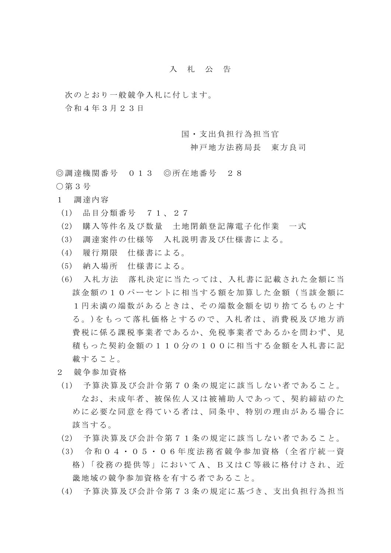## 入札公告

次のとおり一般競争入札に付します。

令和4年3月23日

国・支出負担行為担当官

神戸地方法務局長 東方良司

◎調達機関番号 013 ◎所在地番号 28

- ○第3号
- 1 調達内容
- (1) 品目分類番号 71、27
- (2) 購入等件名及び数量 土地閉鎖登記簿電子化作業 一式
- (3) 調達案件の仕様等 入札説明書及び仕様書による。
- (4) 履行期限 仕様書による。
- (5) 納入場所 仕様書による。
- (6) 入札方法 落札決定に当たっては、入札書に記載された金額に当 該金額の10パーセントに相当する額を加算した金額(当該金額に 1円未満の端数があるときは、その端数金額を切り捨てるものとす る。)をもって落札価格とするので、入札者は、消費税及び地方消 費税に係る課税事業者であるか、免税事業者であるかを問わず、見 積もった契約金額の110分の100に相当する金額を入札書に記 載すること。
- 2 競争参加資格
- (1) 予算決算及び会計令第70条の規定に該当しない者であること。 なお、未成年者、被保佐人又は被補助人であって、契約締結のた めに必要な同意を得ている者は、同条中、特別の理由がある場合に 該当する。
- (2) 予算決算及び会計令第71条の規定に該当しない者であること。
- (3) 令和04・05・06年度法務 省競争参加資格(全省庁統一資 格 )「役務の提供等」においてA、B又はC等級に格付けされ、近 畿地域の競争参加資格を有する者であること。
- (4) 予算決算及び会計令第73条の規定に基づき、支出負担行為担当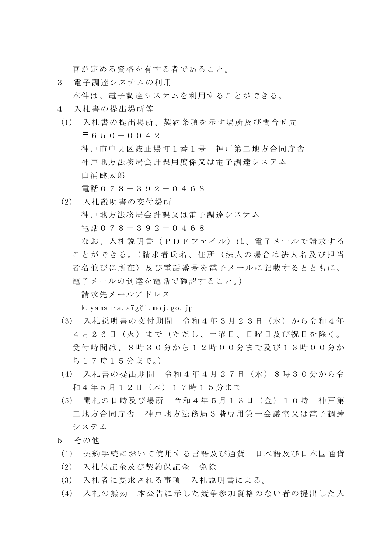官が定める資格を有する者であること。

3 電子調達システムの利用

本件は、電子調達システムを利用することができる。

- 4 入札書の提出場所等
- (1) 入札書の提出場所、契約条項を示す場所及び問合せ先  $\overline{7}650-0.042$ 神戸市中央区波止場町1番1号 神戸第二地方合同庁舎 神戸地方法務局会計課用度係又は電子調達システム 山浦健太郎 電話078-392-0468
- (2) 入札説明書の交付場所 神戸地方法務局会計課又は電子調達システム 電話078-392-0468 なお、入札説明書(PDFファイル)は、電子メールで請求する ことができる。(請求者氏名、住所(法人の場合は法人名及び担当 者名並びに所在)及び電話番号を電子メールに記載するとともに、 電子メールの到達を電話で確認すること。) 請求先メールアドレス

k.yamaura.s7g@i.moj.go.jp

- (3) 入札説明書の交付期間 令和4年3月23日(水)から令和4年 4月26日(火)まで(ただし、土曜日、日曜日及び祝日を除く。 受付時間は、8時30分から12時00分まで及び13時00分か ら17時15分まで。)
- (4) 入札書の提出期間 令和4年4月27日(水)8時30分から令 和4年5月12日(木)17時15分まで
- (5) 開札の日時及び場所 令和4年5月13日(金)10時 神戸第 二地方合同庁舎 神戸地方法務局3階専用第一会議室又は電子調達 システム
- 5 その他
- (1) 契約手続において使用する言語及び通貨 日本語及び日本国通貨
- (2) 入札保証金及び契約保証金 免除
- (3) 入札者に要求される事項 入札説明書による。
- (4) 入札の無効 本公告に示した競争参加資格のない者の提出した入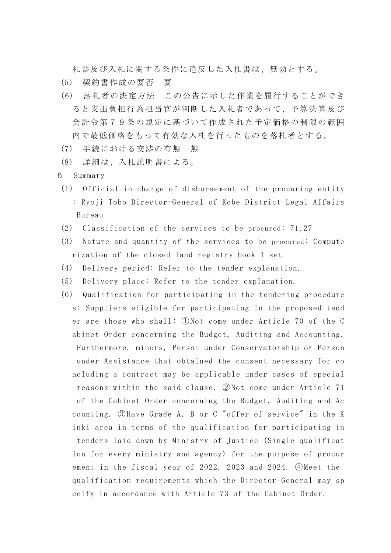札書及び入札に関する条件に違反した入札書は、無効とする。

- (5) 契約書作成の要否 要
- (6) 落札者の決定方法 この公告に示した作業を履行することができ ると支出負担行為担当官が判断した入札者であって、予算決算及び 会計令第79条の規定に基づいて作成された予定価格の制限の範囲 内で最低価格をもって有効な入札を行ったものを落札者とする。
- (7) 手続における交渉の有無 無
- (8) 詳細は、入札説明書による。
- 6 Summary
	- (1) Official in charge of disbursement of the procuring entity : Ryoji Tobo Director-General of Kobe District Legal Affairs Bureau
	- (2) Classification of the services to be procured: 71,27
	- (3) Nature and quantity of the services to be procured: Compute rization of the closed land registry book 1 set
	- (4) Delivery period: Refer to the tender explanation.
	- (5) Delivery place: Refer to the tender explanation.
	- (6) Qualification for participating in the tendering procedure s: Suppliers eligible for participating in the proposed tend er are those who shall: ①Not come under Article 70 of the C abinet Order concerning the Budget, Auditing and Accounting. Furthermore, minors, Person under Conservatorship or Person under Assistance that obtained the consent necessary for co ncluding a contract may be applicable under cases of special reasons within the said clause. ②Not come under Article 71 of the Cabinet Order concerning the Budget, Auditing and Ac counting. ③Have Grade A, B or C "offer of service" in the K inki area in terms of the qualification for participating in tenders laid down by Ministry of Justice (Single qualificat ion for every ministry and agency) for the purpose of procur ement in the fiscal year of 2022, 2023 and 2024. ④Meet the qualification requirements which the Director-General may sp ecify in accordance with Article 73 of the Cabinet Order.